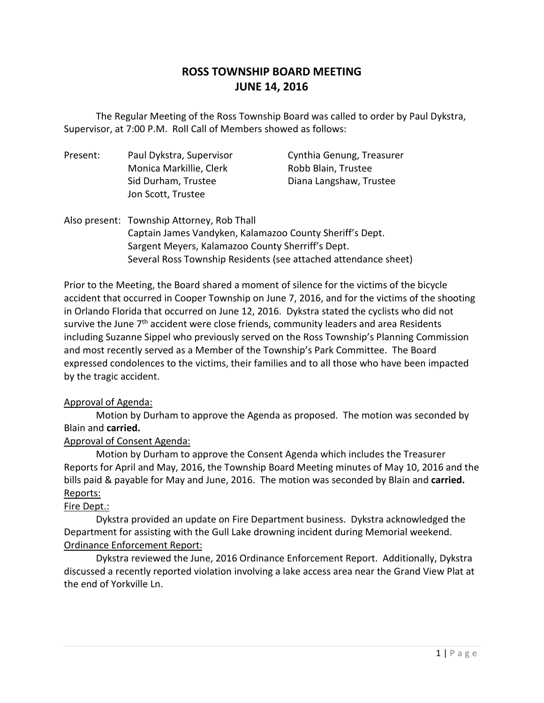# **ROSS TOWNSHIP BOARD MEETING JUNE 14, 2016**

 The Regular Meeting of the Ross Township Board was called to order by Paul Dykstra, Supervisor, at 7:00 P.M. Roll Call of Members showed as follows:

| Present: | Paul Dykstra, Supervisor<br>Monica Markillie, Clerk<br>Sid Durham, Trustee<br>Jon Scott, Trustee | Cynthia Genung, Treasurer<br>Robb Blain, Trustee<br>Diana Langshaw, Trustee |
|----------|--------------------------------------------------------------------------------------------------|-----------------------------------------------------------------------------|
|          | Also present: Township Attorney, Rob Thall                                                       |                                                                             |

Captain James Vandyken, Kalamazoo County Sheriff's Dept. Sargent Meyers, Kalamazoo County Sherriff's Dept. Several Ross Township Residents (see attached attendance sheet)

Prior to the Meeting, the Board shared a moment of silence for the victims of the bicycle accident that occurred in Cooper Township on June 7, 2016, and for the victims of the shooting in Orlando Florida that occurred on June 12, 2016. Dykstra stated the cyclists who did not survive the June  $7<sup>th</sup>$  accident were close friends, community leaders and area Residents including Suzanne Sippel who previously served on the Ross Township's Planning Commission and most recently served as a Member of the Township's Park Committee. The Board expressed condolences to the victims, their families and to all those who have been impacted by the tragic accident.

#### Approval of Agenda:

Motion by Durham to approve the Agenda as proposed. The motion was seconded by Blain and **carried.**

# Approval of Consent Agenda:

Motion by Durham to approve the Consent Agenda which includes the Treasurer Reports for April and May, 2016, the Township Board Meeting minutes of May 10, 2016 and the bills paid & payable for May and June, 2016. The motion was seconded by Blain and **carried.** Reports:

#### Fire Dept.:

Dykstra provided an update on Fire Department business. Dykstra acknowledged the Department for assisting with the Gull Lake drowning incident during Memorial weekend. Ordinance Enforcement Report:

Dykstra reviewed the June, 2016 Ordinance Enforcement Report. Additionally, Dykstra discussed a recently reported violation involving a lake access area near the Grand View Plat at the end of Yorkville Ln.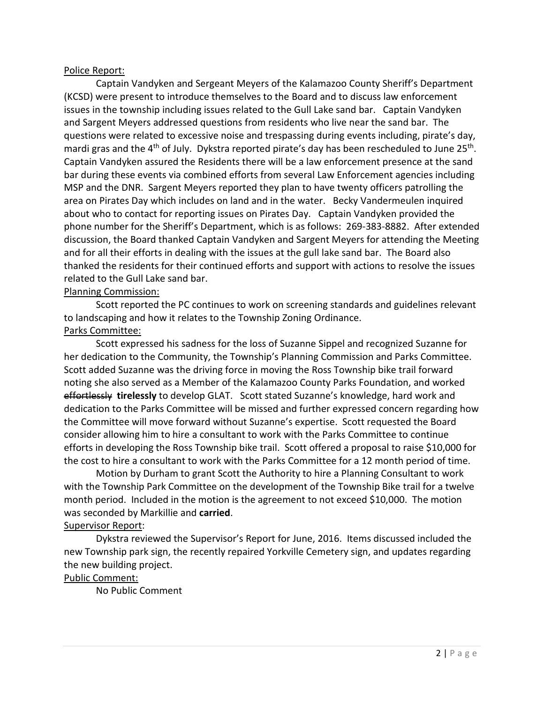#### Police Report:

Captain Vandyken and Sergeant Meyers of the Kalamazoo County Sheriff's Department (KCSD) were present to introduce themselves to the Board and to discuss law enforcement issues in the township including issues related to the Gull Lake sand bar. Captain Vandyken and Sargent Meyers addressed questions from residents who live near the sand bar. The questions were related to excessive noise and trespassing during events including, pirate's day, mardi gras and the  $4<sup>th</sup>$  of July. Dykstra reported pirate's day has been rescheduled to June 25<sup>th</sup>. Captain Vandyken assured the Residents there will be a law enforcement presence at the sand bar during these events via combined efforts from several Law Enforcement agencies including MSP and the DNR. Sargent Meyers reported they plan to have twenty officers patrolling the area on Pirates Day which includes on land and in the water. Becky Vandermeulen inquired about who to contact for reporting issues on Pirates Day. Captain Vandyken provided the phone number for the Sheriff's Department, which is as follows: 269-383-8882. After extended discussion, the Board thanked Captain Vandyken and Sargent Meyers for attending the Meeting and for all their efforts in dealing with the issues at the gull lake sand bar. The Board also thanked the residents for their continued efforts and support with actions to resolve the issues related to the Gull Lake sand bar.

# Planning Commission:

Scott reported the PC continues to work on screening standards and guidelines relevant to landscaping and how it relates to the Township Zoning Ordinance. Parks Committee:

Scott expressed his sadness for the loss of Suzanne Sippel and recognized Suzanne for her dedication to the Community, the Township's Planning Commission and Parks Committee. Scott added Suzanne was the driving force in moving the Ross Township bike trail forward noting she also served as a Member of the Kalamazoo County Parks Foundation, and worked effortlessly **tirelessly** to develop GLAT. Scott stated Suzanne's knowledge, hard work and dedication to the Parks Committee will be missed and further expressed concern regarding how the Committee will move forward without Suzanne's expertise. Scott requested the Board consider allowing him to hire a consultant to work with the Parks Committee to continue efforts in developing the Ross Township bike trail. Scott offered a proposal to raise \$10,000 for the cost to hire a consultant to work with the Parks Committee for a 12 month period of time.

Motion by Durham to grant Scott the Authority to hire a Planning Consultant to work with the Township Park Committee on the development of the Township Bike trail for a twelve month period. Included in the motion is the agreement to not exceed \$10,000. The motion was seconded by Markillie and **carried**.

#### Supervisor Report:

Dykstra reviewed the Supervisor's Report for June, 2016. Items discussed included the new Township park sign, the recently repaired Yorkville Cemetery sign, and updates regarding the new building project.

#### Public Comment:

No Public Comment